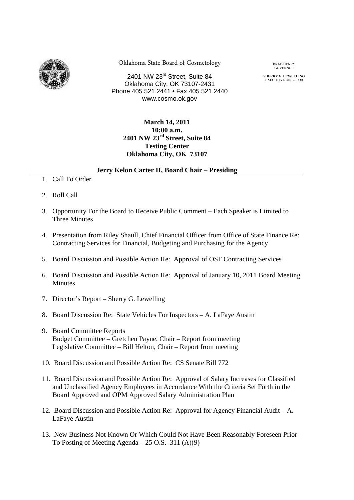

Oklahoma State Board of Cosmetology BRAD HENRY

2401 NW 23rd Street, Suite 84 Oklahoma City, OK 73107-2431 Phone 405.521.2441 • Fax 405.521.2440 www.cosmo.ok.gov

**GOVERNOR** 

**SHERRY G. LEWELLING**<br>EXECUTIVE DIRECTOR

## **March 14, 2011 10:00 a.m. 2401 NW 23rd Street, Suite 84 Testing Center Oklahoma City, OK 73107**

## **Jerry Kelon Carter II, Board Chair – Presiding**

- 1. Call To Order
- 2. Roll Call
- 3. Opportunity For the Board to Receive Public Comment Each Speaker is Limited to Three Minutes
- 4. Presentation from Riley Shaull, Chief Financial Officer from Office of State Finance Re: Contracting Services for Financial, Budgeting and Purchasing for the Agency
- 5. Board Discussion and Possible Action Re: Approval of OSF Contracting Services
- 6. Board Discussion and Possible Action Re: Approval of January 10, 2011 Board Meeting Minutes
- 7. Director's Report Sherry G. Lewelling
- 8. Board Discussion Re: State Vehicles For Inspectors A. LaFaye Austin
- 9. Board Committee Reports Budget Committee – Gretchen Payne, Chair – Report from meeting Legislative Committee – Bill Helton, Chair – Report from meeting
- 10. Board Discussion and Possible Action Re: CS Senate Bill 772
- 11. Board Discussion and Possible Action Re: Approval of Salary Increases for Classified and Unclassified Agency Employees in Accordance With the Criteria Set Forth in the Board Approved and OPM Approved Salary Administration Plan
- 12. Board Discussion and Possible Action Re: Approval for Agency Financial Audit A. LaFaye Austin
- 13. New Business Not Known Or Which Could Not Have Been Reasonably Foreseen Prior To Posting of Meeting Agenda – 25 O.S. 311 (A)(9)